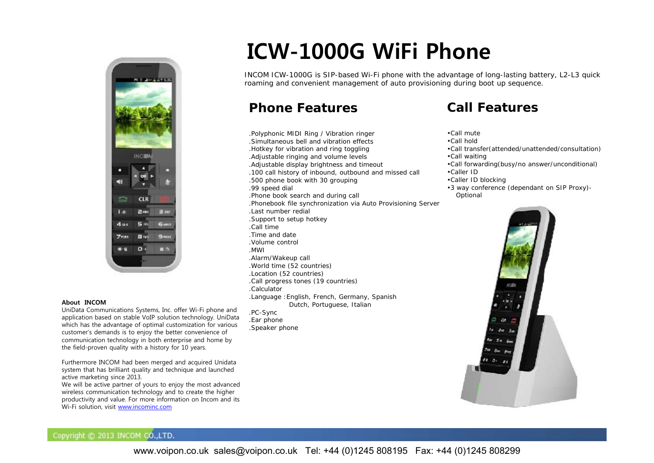

#### **About INCOM**

UniData Communications Systems, Inc. offer Wi-Fi phone and application based on stable VoIP solution technology. UniData which has the advantage of optimal customization for various customer's demands is to enjoy the better convenience of communication technology in both enterprise and home by the field-proven quality with a history for 10 years.

Furthermore INCOM had been merged and acquired Unidata system that has brilliant quality and technique and launched active marketing since 2013.

We will be active partner of yours to enjoy the most advanced wireless communication technology and to create the higher productivity and value. For more information on Incom and its Wi-Fi solution, visit www.incominc.com

# **ICW-1000G WiFi Phone**

INCOM ICW-1000G is SIP-based Wi-Fi phone with the advantage of long-lasting battery, L2-L3 quick roaming and convenient management of auto provisioning during boot up sequence.

# **Phone Features**

.Speaker phone

.Polyphonic MIDI Ring / Vibration ringer .Simultaneous bell and vibration effects .Hotkey for vibration and ring toggling .Adjustable ringing and volume levels .Adjustable display brightness and timeout .100 call history of inbound, outbound and missed call .500 phone book with 30 grouping .99 speed dial .Phone book search and during call .Phonebook file synchronization via Auto Provisioning Server .Last number redial .Support to setup hotkey .Call time.Time and date.Volume control.MWI.Alarm/Wakeup call .World time (52 countries) .Location (52 countries) .Call progress tones (19 countries) .Calculator.Language :English, French, Germany, Spanish Dutch, Portuguese, Italian .PC-Sync .Ear phone

# **Call Features**

- •Call mute
- •Call hold
- •Call transfer(attended/unattended/consultation) •Call waiting
- •Call forwarding(busy/no answer/unconditional) •Caller ID
- •Caller ID blocking
- •3 way conference (dependant on SIP Proxy)- Optional



### Copyright © 2013 INCOM CO., LTD.

www.voipon.co.uk sales@voipon.co.uk Tel: +44 (0)1245 808195 Fax: +44 (0)1245 808299